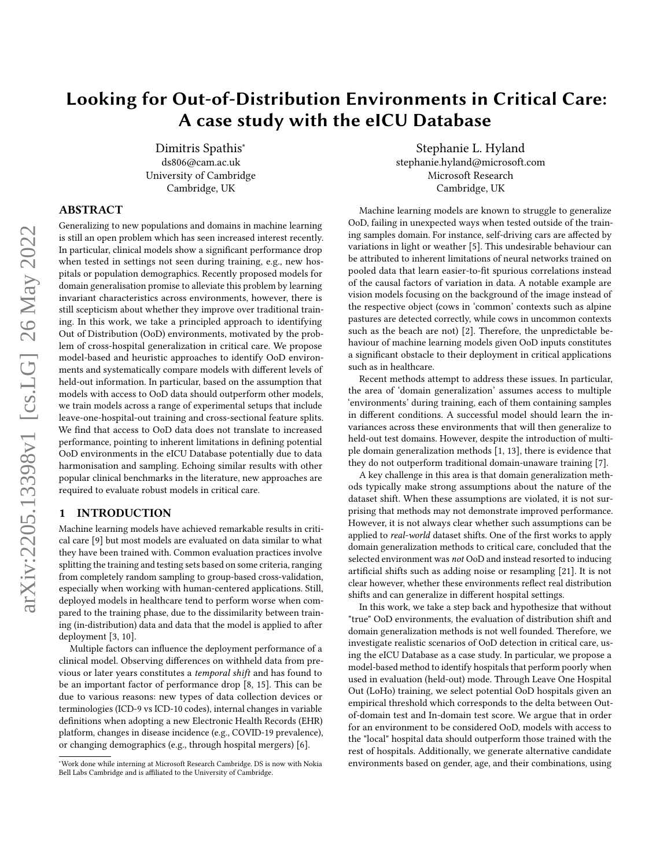Dimitris Spathis<sup>∗</sup> ds806@cam.ac.uk University of Cambridge Cambridge, UK

Stephanie L. Hyland stephanie.hyland@microsoft.com Microsoft Research Cambridge, UK

# ABSTRACT

Generalizing to new populations and domains in machine learning is still an open problem which has seen increased interest recently. In particular, clinical models show a significant performance drop when tested in settings not seen during training, e.g., new hospitals or population demographics. Recently proposed models for domain generalisation promise to alleviate this problem by learning invariant characteristics across environments, however, there is still scepticism about whether they improve over traditional training. In this work, we take a principled approach to identifying Out of Distribution (OoD) environments, motivated by the problem of cross-hospital generalization in critical care. We propose model-based and heuristic approaches to identify OoD environments and systematically compare models with different levels of held-out information. In particular, based on the assumption that models with access to OoD data should outperform other models, we train models across a range of experimental setups that include leave-one-hospital-out training and cross-sectional feature splits. We find that access to OoD data does not translate to increased performance, pointing to inherent limitations in defining potential OoD environments in the eICU Database potentially due to data harmonisation and sampling. Echoing similar results with other popular clinical benchmarks in the literature, new approaches are required to evaluate robust models in critical care.

### 1 INTRODUCTION

Machine learning models have achieved remarkable results in critical care [\[9\]](#page-6-0) but most models are evaluated on data similar to what they have been trained with. Common evaluation practices involve splitting the training and testing sets based on some criteria, ranging from completely random sampling to group-based cross-validation, especially when working with human-centered applications. Still, deployed models in healthcare tend to perform worse when compared to the training phase, due to the dissimilarity between training (in-distribution) data and data that the model is applied to after deployment [\[3,](#page-6-1) [10\]](#page-6-2).

Multiple factors can influence the deployment performance of a clinical model. Observing differences on withheld data from previous or later years constitutes a temporal shift and has found to be an important factor of performance drop [\[8,](#page-6-3) [15\]](#page-6-4). This can be due to various reasons: new types of data collection devices or terminologies (ICD-9 vs ICD-10 codes), internal changes in variable definitions when adopting a new Electronic Health Records (EHR) platform, changes in disease incidence (e.g., COVID-19 prevalence), or changing demographics (e.g., through hospital mergers) [\[6\]](#page-6-5).

Machine learning models are known to struggle to generalize OoD, failing in unexpected ways when tested outside of the training samples domain. For instance, self-driving cars are affected by variations in light or weather [\[5\]](#page-6-6). This undesirable behaviour can be attributed to inherent limitations of neural networks trained on pooled data that learn easier-to-fit spurious correlations instead of the causal factors of variation in data. A notable example are vision models focusing on the background of the image instead of the respective object (cows in 'common' contexts such as alpine pastures are detected correctly, while cows in uncommon contexts such as the beach are not) [\[2\]](#page-6-7). Therefore, the unpredictable behaviour of machine learning models given OoD inputs constitutes a significant obstacle to their deployment in critical applications such as in healthcare.

Recent methods attempt to address these issues. In particular, the area of 'domain generalization' assumes access to multiple 'environments' during training, each of them containing samples in different conditions. A successful model should learn the invariances across these environments that will then generalize to held-out test domains. However, despite the introduction of multiple domain generalization methods [\[1,](#page-6-8) [13\]](#page-6-9), there is evidence that they do not outperform traditional domain-unaware training [\[7\]](#page-6-10).

A key challenge in this area is that domain generalization methods typically make strong assumptions about the nature of the dataset shift. When these assumptions are violated, it is not surprising that methods may not demonstrate improved performance. However, it is not always clear whether such assumptions can be applied to real-world dataset shifts. One of the first works to apply domain generalization methods to critical care, concluded that the selected environment was not OoD and instead resorted to inducing artificial shifts such as adding noise or resampling [\[21\]](#page-7-0). It is not clear however, whether these environments reflect real distribution shifts and can generalize in different hospital settings.

In this work, we take a step back and hypothesize that without "true" OoD environments, the evaluation of distribution shift and domain generalization methods is not well founded. Therefore, we investigate realistic scenarios of OoD detection in critical care, using the eICU Database as a case study. In particular, we propose a model-based method to identify hospitals that perform poorly when used in evaluation (held-out) mode. Through Leave One Hospital Out (LoHo) training, we select potential OoD hospitals given an empirical threshold which corresponds to the delta between Outof-domain test and In-domain test score. We argue that in order for an environment to be considered OoD, models with access to the "local" hospital data should outperform those trained with the rest of hospitals. Additionally, we generate alternative candidate environments based on gender, age, and their combinations, using

<sup>∗</sup>Work done while interning at Microsoft Research Cambridge. DS is now with Nokia Bell Labs Cambridge and is affiliated to the University of Cambridge.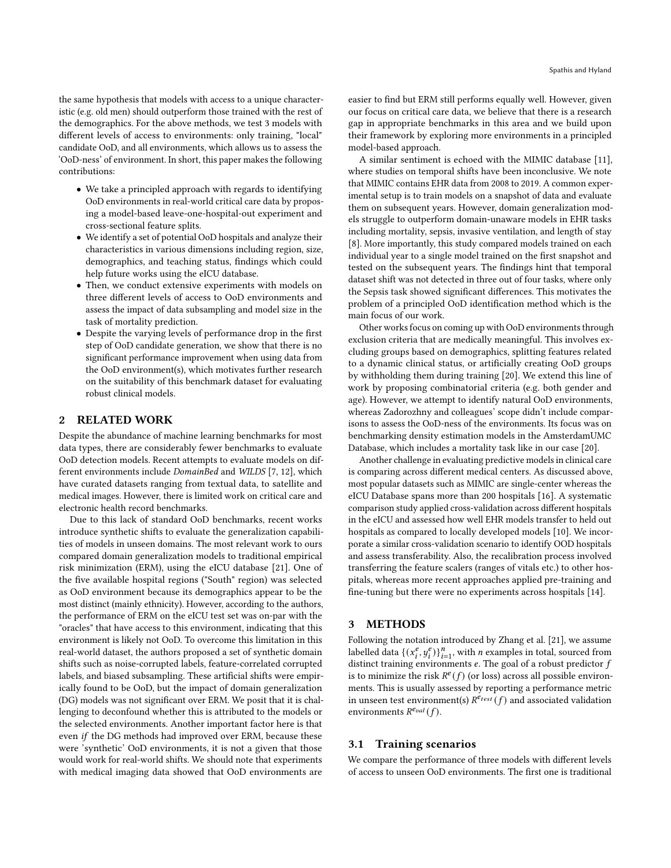the same hypothesis that models with access to a unique characteristic (e.g. old men) should outperform those trained with the rest of the demographics. For the above methods, we test 3 models with different levels of access to environments: only training, "local" candidate OoD, and all environments, which allows us to assess the 'OoD-ness' of environment. In short, this paper makes the following contributions:

- We take a principled approach with regards to identifying OoD environments in real-world critical care data by proposing a model-based leave-one-hospital-out experiment and cross-sectional feature splits.
- We identify a set of potential OoD hospitals and analyze their characteristics in various dimensions including region, size, demographics, and teaching status, findings which could help future works using the eICU database.
- Then, we conduct extensive experiments with models on three different levels of access to OoD environments and assess the impact of data subsampling and model size in the task of mortality prediction.
- Despite the varying levels of performance drop in the first step of OoD candidate generation, we show that there is no significant performance improvement when using data from the OoD environment(s), which motivates further research on the suitability of this benchmark dataset for evaluating robust clinical models.

#### 2 RELATED WORK

Despite the abundance of machine learning benchmarks for most data types, there are considerably fewer benchmarks to evaluate OoD detection models. Recent attempts to evaluate models on different environments include DomainBed and WILDS [\[7,](#page-6-10) [12\]](#page-6-11), which have curated datasets ranging from textual data, to satellite and medical images. However, there is limited work on critical care and electronic health record benchmarks.

Due to this lack of standard OoD benchmarks, recent works introduce synthetic shifts to evaluate the generalization capabilities of models in unseen domains. The most relevant work to ours compared domain generalization models to traditional empirical risk minimization (ERM), using the eICU database [\[21\]](#page-7-0). One of the five available hospital regions ("South" region) was selected as OoD environment because its demographics appear to be the most distinct (mainly ethnicity). However, according to the authors, the performance of ERM on the eICU test set was on-par with the "oracles" that have access to this environment, indicating that this environment is likely not OoD. To overcome this limitation in this real-world dataset, the authors proposed a set of synthetic domain shifts such as noise-corrupted labels, feature-correlated corrupted labels, and biased subsampling. These artificial shifts were empirically found to be OoD, but the impact of domain generalization (DG) models was not significant over ERM. We posit that it is challenging to deconfound whether this is attributed to the models or the selected environments. Another important factor here is that even if the DG methods had improved over ERM, because these were 'synthetic' OoD environments, it is not a given that those would work for real-world shifts. We should note that experiments with medical imaging data showed that OoD environments are

easier to find but ERM still performs equally well. However, given our focus on critical care data, we believe that there is a research gap in appropriate benchmarks in this area and we build upon their framework by exploring more environments in a principled model-based approach.

A similar sentiment is echoed with the MIMIC database [\[11\]](#page-6-12), where studies on temporal shifts have been inconclusive. We note that MIMIC contains EHR data from 2008 to 2019. A common experimental setup is to train models on a snapshot of data and evaluate them on subsequent years. However, domain generalization models struggle to outperform domain-unaware models in EHR tasks including mortality, sepsis, invasive ventilation, and length of stay [\[8\]](#page-6-3). More importantly, this study compared models trained on each individual year to a single model trained on the first snapshot and tested on the subsequent years. The findings hint that temporal dataset shift was not detected in three out of four tasks, where only the Sepsis task showed significant differences. This motivates the problem of a principled OoD identification method which is the main focus of our work.

Other works focus on coming up with OoD environments through exclusion criteria that are medically meaningful. This involves excluding groups based on demographics, splitting features related to a dynamic clinical status, or artificially creating OoD groups by withholding them during training [\[20\]](#page-7-1). We extend this line of work by proposing combinatorial criteria (e.g. both gender and age). However, we attempt to identify natural OoD environments, whereas Zadorozhny and colleagues' scope didn't include comparisons to assess the OoD-ness of the environments. Its focus was on benchmarking density estimation models in the AmsterdamUMC Database, which includes a mortality task like in our case [\[20\]](#page-7-1).

Another challenge in evaluating predictive models in clinical care is comparing across different medical centers. As discussed above, most popular datasets such as MIMIC are single-center whereas the eICU Database spans more than 200 hospitals [\[16\]](#page-6-13). A systematic comparison study applied cross-validation across different hospitals in the eICU and assessed how well EHR models transfer to held out hospitals as compared to locally developed models [\[10\]](#page-6-2). We incorporate a similar cross-validation scenario to identify OOD hospitals and assess transferability. Also, the recalibration process involved transferring the feature scalers (ranges of vitals etc.) to other hospitals, whereas more recent approaches applied pre-training and fine-tuning but there were no experiments across hospitals [\[14\]](#page-6-14).

#### 3 METHODS

Following the notation introduced by Zhang et al. [\[21\]](#page-7-0), we assume labelled data  $\{(x_i^e, y_i^e)\}_{i=1}^n$ , with *n* examples in total, sourced from distinct training environments  $e$ . The goal of a robust predictor  $f$ is to minimize the risk  $R^e(f)$  (or loss) across all possible environments. This is usually assessed by reporting a performance metric in unseen test environment(s)  $R^{e_{test}}(f)$  and associated validation environments  $R^{e_{val}}(f)$ .

# <span id="page-1-0"></span>3.1 Training scenarios

We compare the performance of three models with different levels of access to unseen OoD environments. The first one is traditional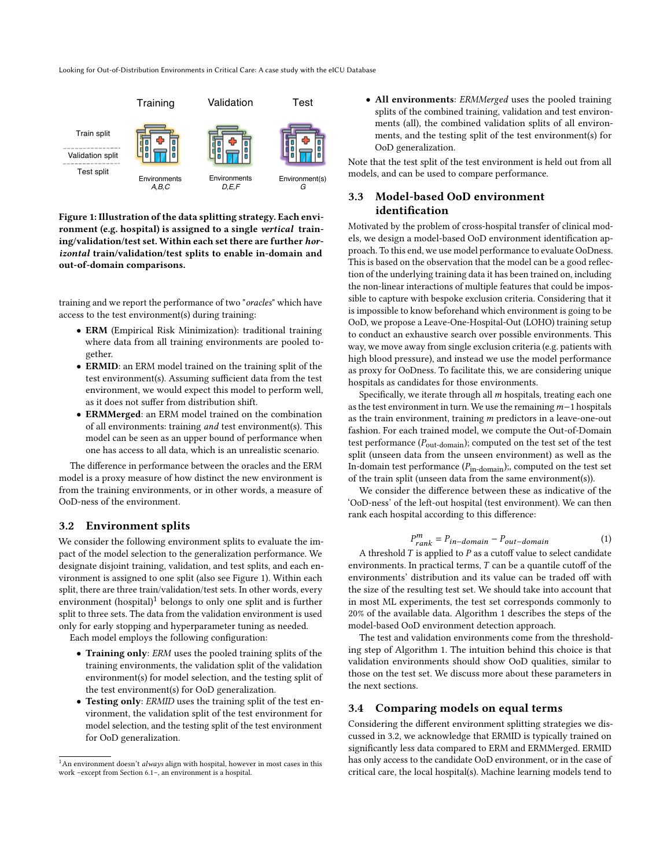<span id="page-2-0"></span>

Figure 1: Illustration of the data splitting strategy. Each environment (e.g. hospital) is assigned to a single vertical training/validation/test set. Within each set there are further horizontal train/validation/test splits to enable in-domain and out-of-domain comparisons.

training and we report the performance of two "oracles" which have access to the test environment(s) during training:

- ERM (Empirical Risk Minimization): traditional training where data from all training environments are pooled together.
- ERMID: an ERM model trained on the training split of the test environment(s). Assuming sufficient data from the test environment, we would expect this model to perform well, as it does not suffer from distribution shift.
- ERMMerged: an ERM model trained on the combination of all environments: training and test environment(s). This model can be seen as an upper bound of performance when one has access to all data, which is an unrealistic scenario.

The difference in performance between the oracles and the ERM model is a proxy measure of how distinct the new environment is from the training environments, or in other words, a measure of OoD-ness of the environment.

### <span id="page-2-2"></span>3.2 Environment splits

We consider the following environment splits to evaluate the impact of the model selection to the generalization performance. We designate disjoint training, validation, and test splits, and each environment is assigned to one split (also see Figure [1\)](#page-2-0). Within each split, there are three train/validation/test sets. In other words, every environment (hospital)<sup>[1](#page-2-1)</sup> belongs to only one split and is further split to three sets. The data from the validation environment is used only for early stopping and hyperparameter tuning as needed.

Each model employs the following configuration:

- Training only: ERM uses the pooled training splits of the training environments, the validation split of the validation environment(s) for model selection, and the testing split of the test environment(s) for OoD generalization.
- Testing only: ERMID uses the training split of the test environment, the validation split of the test environment for model selection, and the testing split of the test environment for OoD generalization.

• All environments: ERMMerged uses the pooled training splits of the combined training, validation and test environments (all), the combined validation splits of all environments, and the testing split of the test environment(s) for OoD generalization.

Note that the test split of the test environment is held out from all models, and can be used to compare performance.

# 3.3 Model-based OoD environment identification

Motivated by the problem of cross-hospital transfer of clinical models, we design a model-based OoD environment identification approach. To this end, we use model performance to evaluate OoDness. This is based on the observation that the model can be a good reflection of the underlying training data it has been trained on, including the non-linear interactions of multiple features that could be impossible to capture with bespoke exclusion criteria. Considering that it is impossible to know beforehand which environment is going to be OoD, we propose a Leave-One-Hospital-Out (LOHO) training setup to conduct an exhaustive search over possible environments. This way, we move away from single exclusion criteria (e.g. patients with high blood pressure), and instead we use the model performance as proxy for OoDness. To facilitate this, we are considering unique hospitals as candidates for those environments.

Specifically, we iterate through all  $m$  hospitals, treating each one as the test environment in turn. We use the remaining m–1 hospitals as the train environment, training  $m$  predictors in a leave-one-out fashion. For each trained model, we compute the Out-of-Domain test performance ( $P_{\rm out-domain}$ ); computed on the test set of the test split (unseen data from the unseen environment) as well as the In-domain test performance  $(P_{\text{in-domain}})$ ; computed on the test set of the train split (unseen data from the same environment(s)).

We consider the difference between these as indicative of the 'OoD-ness' of the left-out hospital (test environment). We can then rank each hospital according to this difference:

$$
P_{rank}^{m} = P_{in-domain} - P_{out-domain}
$$
 (1)

A threshold  $T$  is applied to  $P$  as a cutoff value to select candidate environments. In practical terms,  $T$  can be a quantile cutoff of the environments' distribution and its value can be traded off with the size of the resulting test set. We should take into account that in most ML experiments, the test set corresponds commonly to 20% of the available data. Algorithm [1](#page-3-0) describes the steps of the model-based OoD environment detection approach.

The test and validation environments come from the thresholding step of Algorithm [1.](#page-3-0) The intuition behind this choice is that validation environments should show OoD qualities, similar to those on the test set. We discuss more about these parameters in the next sections.

#### 3.4 Comparing models on equal terms

Considering the different environment splitting strategies we discussed in [3.2,](#page-2-2) we acknowledge that ERMID is typically trained on significantly less data compared to ERM and ERMMerged. ERMID has only access to the candidate OoD environment, or in the case of critical care, the local hospital(s). Machine learning models tend to

<span id="page-2-1"></span> $1$ An environment doesn't *always* align with hospital, however in most cases in this work –except from Section [6.1–](#page-5-0), an environment is a hospital.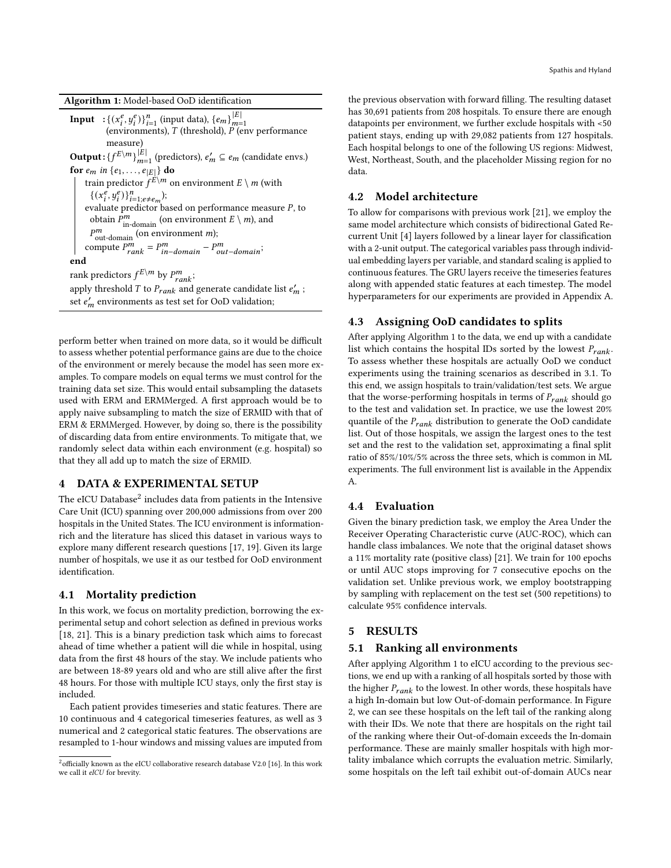Algorithm 1: Model-based OoD identification

**Input** : { $(x_i^e, y_i^e)$ } $_{i=1}^n$  (input data), { $e_m$ } $_{m=1}^{|E|}$ <br>(environments), *T* (threshold), *P* (env performance measure) **Output**:  $\{f^{E \setminus m}\}_{m=1}^{|E|}$  (predictors),  $e'_m \subseteq e_m$  (candidate envs.) for  $e_m$  in  $\{e_1, \ldots, e_{|E|}\}$  do train predictor  $\overline{f^{E}}\backslash m$  on environment  $E \setminus m$  (with  $\{(x_i^e, y_i^e)\}_{i=1; e \neq e_m}^n$ ); evaluate predictor based on performance measure  $P$ , to obtain  $P_{\text{in-domain}}^m$  (on environment  $E \setminus m$ ), and  $P_{\text{out-domain}}^{m}$  (on environment *m*); compute  $P_{rank}^m = P_{in-domain}^m - P_{out-domain}^m$ ; end rank predictors  $f^{E \setminus m}$  by  $P_{rank}^m$ ; apply threshold T to  $P_{rank}$  and generate candidate list  $e'_{m}$ ; set  $e'_{m}$  environments as test set for OoD validation;

<span id="page-3-0"></span>perform better when trained on more data, so it would be difficult to assess whether potential performance gains are due to the choice of the environment or merely because the model has seen more examples. To compare models on equal terms we must control for the training data set size. This would entail subsampling the datasets used with ERM and ERMMerged. A first approach would be to apply naive subsampling to match the size of ERMID with that of ERM & ERMMerged. However, by doing so, there is the possibility of discarding data from entire environments. To mitigate that, we randomly select data within each environment (e.g. hospital) so that they all add up to match the size of ERMID.

# 4 DATA & EXPERIMENTAL SETUP

The eICU Database $^2$  $^2$  includes data from patients in the Intensive Care Unit (ICU) spanning over 200,000 admissions from over 200 hospitals in the United States. The ICU environment is informationrich and the literature has sliced this dataset in various ways to explore many different research questions [\[17,](#page-6-15) [19\]](#page-7-2). Given its large number of hospitals, we use it as our testbed for OoD environment identification.

#### 4.1 Mortality prediction

In this work, we focus on mortality prediction, borrowing the experimental setup and cohort selection as defined in previous works [\[18,](#page-7-3) [21\]](#page-7-0). This is a binary prediction task which aims to forecast ahead of time whether a patient will die while in hospital, using data from the first 48 hours of the stay. We include patients who are between 18-89 years old and who are still alive after the first 48 hours. For those with multiple ICU stays, only the first stay is included.

Each patient provides timeseries and static features. There are 10 continuous and 4 categorical timeseries features, as well as 3 numerical and 2 categorical static features. The observations are resampled to 1-hour windows and missing values are imputed from the previous observation with forward filling. The resulting dataset has 30,691 patients from 208 hospitals. To ensure there are enough datapoints per environment, we further exclude hospitals with <50 patient stays, ending up with 29,082 patients from 127 hospitals. Each hospital belongs to one of the following US regions: Midwest, West, Northeast, South, and the placeholder Missing region for no data.

#### 4.2 Model architecture

To allow for comparisons with previous work [\[21\]](#page-7-0), we employ the same model architecture which consists of bidirectional Gated Recurrent Unit [\[4\]](#page-6-16) layers followed by a linear layer for classification with a 2-unit output. The categorical variables pass through individual embedding layers per variable, and standard scaling is applied to continuous features. The GRU layers receive the timeseries features along with appended static features at each timestep. The model hyperparameters for our experiments are provided in Appendix [A.](#page-8-0)

#### 4.3 Assigning OoD candidates to splits

After applying Algorithm [1](#page-3-0) to the data, we end up with a candidate list which contains the hospital IDs sorted by the lowest  $P_{rank}$ . To assess whether these hospitals are actually OoD we conduct experiments using the training scenarios as described in [3.1.](#page-1-0) To this end, we assign hospitals to train/validation/test sets. We argue that the worse-performing hospitals in terms of  $P_{rank}$  should go to the test and validation set. In practice, we use the lowest 20% quantile of the  $P_{rank}$  distribution to generate the OoD candidate list. Out of those hospitals, we assign the largest ones to the test set and the rest to the validation set, approximating a final split ratio of 85%/10%/5% across the three sets, which is common in ML experiments. The full environment list is available in the Appendix [A.](#page-8-0)

# 4.4 Evaluation

Given the binary prediction task, we employ the Area Under the Receiver Operating Characteristic curve (AUC-ROC), which can handle class imbalances. We note that the original dataset shows a 11% mortality rate (positive class) [\[21\]](#page-7-0). We train for 100 epochs or until AUC stops improving for 7 consecutive epochs on the validation set. Unlike previous work, we employ bootstrapping by sampling with replacement on the test set (500 repetitions) to calculate 95% confidence intervals.

# 5 RESULTS

#### 5.1 Ranking all environments

After applying Algorithm [1](#page-3-0) to eICU according to the previous sections, we end up with a ranking of all hospitals sorted by those with the higher  $P_{rank}$  to the lowest. In other words, these hospitals have a high In-domain but low Out-of-domain performance. In Figure [2,](#page-4-0) we can see these hospitals on the left tail of the ranking along with their IDs. We note that there are hospitals on the right tail of the ranking where their Out-of-domain exceeds the In-domain performance. These are mainly smaller hospitals with high mortality imbalance which corrupts the evaluation metric. Similarly, some hospitals on the left tail exhibit out-of-domain AUCs near

<span id="page-3-1"></span> $^2$ officially known as the eICU collaborative research database V2.0 [\[16\]](#page-6-13). In this work we call it eICU for brevity.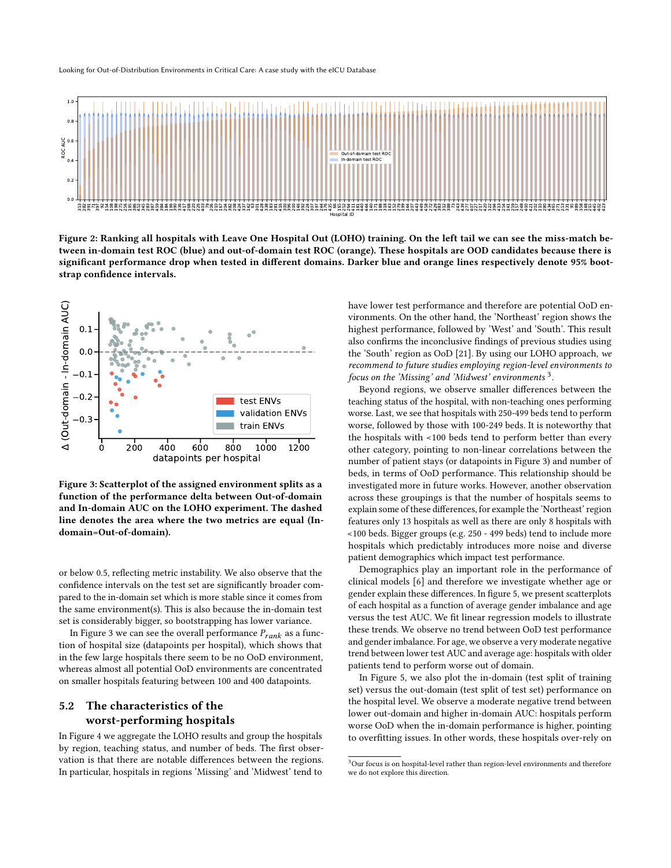<span id="page-4-0"></span>

Figure 2: Ranking all hospitals with Leave One Hospital Out (LOHO) training. On the left tail we can see the miss-match between in-domain test ROC (blue) and out-of-domain test ROC (orange). These hospitals are OOD candidates because there is significant performance drop when tested in different domains. Darker blue and orange lines respectively denote 95% bootstrap confidence intervals.

<span id="page-4-1"></span>

Figure 3: Scatterplot of the assigned environment splits as a function of the performance delta between Out-of-domain and In-domain AUC on the LOHO experiment. The dashed line denotes the area where the two metrics are equal (Indomain=Out-of-domain).

or below 0.5, reflecting metric instability. We also observe that the confidence intervals on the test set are significantly broader compared to the in-domain set which is more stable since it comes from the same environment(s). This is also because the in-domain test set is considerably bigger, so bootstrapping has lower variance.

In Figure [3](#page-4-1) we can see the overall performance  $P_{rank}$  as a function of hospital size (datapoints per hospital), which shows that in the few large hospitals there seem to be no OoD environment, whereas almost all potential OoD environments are concentrated on smaller hospitals featuring between 100 and 400 datapoints.

# 5.2 The characteristics of the worst-performing hospitals

In Figure [4](#page-6-17) we aggregate the LOHO results and group the hospitals by region, teaching status, and number of beds. The first observation is that there are notable differences between the regions. In particular, hospitals in regions 'Missing' and 'Midwest' tend to

have lower test performance and therefore are potential OoD environments. On the other hand, the 'Northeast' region shows the highest performance, followed by 'West' and 'South'. This result also confirms the inconclusive findings of previous studies using the 'South' region as OoD [\[21\]](#page-7-0). By using our LOHO approach, we recommend to future studies employing region-level environments to focus on the 'Missing' and 'Midwest' environments<sup>[3](#page-4-2)</sup>.

Beyond regions, we observe smaller differences between the teaching status of the hospital, with non-teaching ones performing worse. Last, we see that hospitals with 250-499 beds tend to perform worse, followed by those with 100-249 beds. It is noteworthy that the hospitals with <100 beds tend to perform better than every other category, pointing to non-linear correlations between the number of patient stays (or datapoints in Figure [3\)](#page-4-1) and number of beds, in terms of OoD performance. This relationship should be investigated more in future works. However, another observation across these groupings is that the number of hospitals seems to explain some of these differences, for example the 'Northeast' region features only 13 hospitals as well as there are only 8 hospitals with <100 beds. Bigger groups (e.g. 250 - 499 beds) tend to include more hospitals which predictably introduces more noise and diverse patient demographics which impact test performance.

Demographics play an important role in the performance of clinical models [\[6\]](#page-6-5) and therefore we investigate whether age or gender explain these differences. In figure [5,](#page-9-0) we present scatterplots of each hospital as a function of average gender imbalance and age versus the test AUC. We fit linear regression models to illustrate these trends. We observe no trend between OoD test performance and gender imbalance. For age, we observe a very moderate negative trend between lower test AUC and average age: hospitals with older patients tend to perform worse out of domain.

In Figure [5,](#page-9-0) we also plot the in-domain (test split of training set) versus the out-domain (test split of test set) performance on the hospital level. We observe a moderate negative trend between lower out-domain and higher in-domain AUC: hospitals perform worse OoD when the in-domain performance is higher, pointing to overfitting issues. In other words, these hospitals over-rely on

<span id="page-4-2"></span> $^3$  Our focus is on hospital-level rather than region-level environments and therefore we do not explore this direction.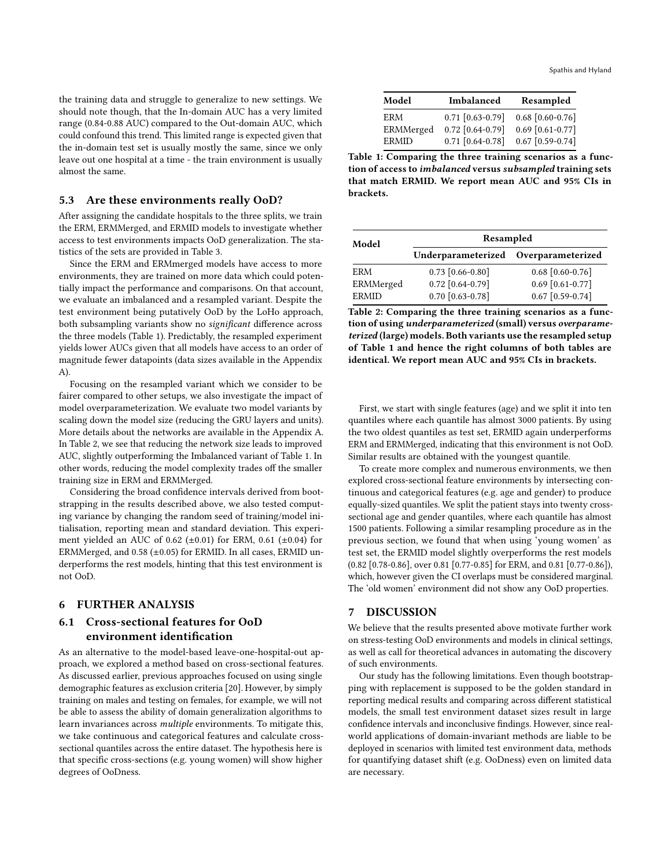the training data and struggle to generalize to new settings. We should note though, that the In-domain AUC has a very limited range (0.84-0.88 AUC) compared to the Out-domain AUC, which could confound this trend. This limited range is expected given that the in-domain test set is usually mostly the same, since we only leave out one hospital at a time - the train environment is usually almost the same.

#### 5.3 Are these environments really OoD?

After assigning the candidate hospitals to the three splits, we train the ERM, ERMMerged, and ERMID models to investigate whether access to test environments impacts OoD generalization. The statistics of the sets are provided in Table [3.](#page-8-1)

Since the ERM and ERMmerged models have access to more environments, they are trained on more data which could potentially impact the performance and comparisons. On that account, we evaluate an imbalanced and a resampled variant. Despite the test environment being putatively OoD by the LoHo approach, both subsampling variants show no significant difference across the three models (Table [1\)](#page-5-1). Predictably, the resampled experiment yields lower AUCs given that all models have access to an order of magnitude fewer datapoints (data sizes available in the Appendix [A\)](#page-8-0).

Focusing on the resampled variant which we consider to be fairer compared to other setups, we also investigate the impact of model overparameterization. We evaluate two model variants by scaling down the model size (reducing the GRU layers and units). More details about the networks are available in the Appendix [A.](#page-8-0) In Table [2,](#page-5-2) we see that reducing the network size leads to improved AUC, slightly outperforming the Imbalanced variant of Table [1.](#page-5-1) In other words, reducing the model complexity trades off the smaller training size in ERM and ERMMerged.

Considering the broad confidence intervals derived from bootstrapping in the results described above, we also tested computing variance by changing the random seed of training/model initialisation, reporting mean and standard deviation. This experiment yielded an AUC of 0.62 ( $\pm$ 0.01) for ERM, 0.61 ( $\pm$ 0.04) for ERMMerged, and 0.58 ( $\pm$ 0.05) for ERMID. In all cases, ERMID underperforms the rest models, hinting that this test environment is not OoD.

#### 6 FURTHER ANALYSIS

# <span id="page-5-0"></span>6.1 Cross-sectional features for OoD environment identification

As an alternative to the model-based leave-one-hospital-out approach, we explored a method based on cross-sectional features. As discussed earlier, previous approaches focused on using single demographic features as exclusion criteria [\[20\]](#page-7-1). However, by simply training on males and testing on females, for example, we will not be able to assess the ability of domain generalization algorithms to learn invariances across multiple environments. To mitigate this, we take continuous and categorical features and calculate crosssectional quantiles across the entire dataset. The hypothesis here is that specific cross-sections (e.g. young women) will show higher degrees of OoDness.

<span id="page-5-1"></span>

| Model        | Imbalanced             | Resampled          |  |  |
|--------------|------------------------|--------------------|--|--|
| ERM          | $0.71$ $[0.63 - 0.79]$ | $0.68$ [0.60-0.76] |  |  |
| ERMMerged    | $0.72$ [0.64-0.79]     | $0.69$ [0.61-0.77] |  |  |
| <b>ERMID</b> | $0.71$ $[0.64 - 0.78]$ | $0.67$ [0.59-0.74] |  |  |

Table 1: Comparing the three training scenarios as a function of access to imbalanced versus subsampled training sets that match ERMID. We report mean AUC and 95% CIs in brackets.

<span id="page-5-2"></span>

| Model        | Resampled                            |                    |  |  |
|--------------|--------------------------------------|--------------------|--|--|
|              | Underparameterized Overparameterized |                    |  |  |
| ERM          | $0.73$ [0.66-0.80]                   | $0.68$ [0.60-0.76] |  |  |
| ERMMerged    | $0.72$ [0.64-0.79]                   | $0.69$ [0.61-0.77] |  |  |
| <b>ERMID</b> | $0.70$ [0.63-0.78]                   | $0.67$ [0.59-0.74] |  |  |

Table 2: Comparing the three training scenarios as a function of using underparameterized (small) versus overparameterized (large) models. Both variants use the resampled setup of Table [1](#page-5-1) and hence the right columns of both tables are identical. We report mean AUC and 95% CIs in brackets.

First, we start with single features (age) and we split it into ten quantiles where each quantile has almost 3000 patients. By using the two oldest quantiles as test set, ERMID again underperforms ERM and ERMMerged, indicating that this environment is not OoD. Similar results are obtained with the youngest quantile.

To create more complex and numerous environments, we then explored cross-sectional feature environments by intersecting continuous and categorical features (e.g. age and gender) to produce equally-sized quantiles. We split the patient stays into twenty crosssectional age and gender quantiles, where each quantile has almost 1500 patients. Following a similar resampling procedure as in the previous section, we found that when using 'young women' as test set, the ERMID model slightly overperforms the rest models (0.82 [0.78-0.86], over 0.81 [0.77-0.85] for ERM, and 0.81 [0.77-0.86]), which, however given the CI overlaps must be considered marginal. The 'old women' environment did not show any OoD properties.

#### 7 DISCUSSION

We believe that the results presented above motivate further work on stress-testing OoD environments and models in clinical settings, as well as call for theoretical advances in automating the discovery of such environments.

Our study has the following limitations. Even though bootstrapping with replacement is supposed to be the golden standard in reporting medical results and comparing across different statistical models, the small test environment dataset sizes result in large confidence intervals and inconclusive findings. However, since realworld applications of domain-invariant methods are liable to be deployed in scenarios with limited test environment data, methods for quantifying dataset shift (e.g. OoDness) even on limited data are necessary.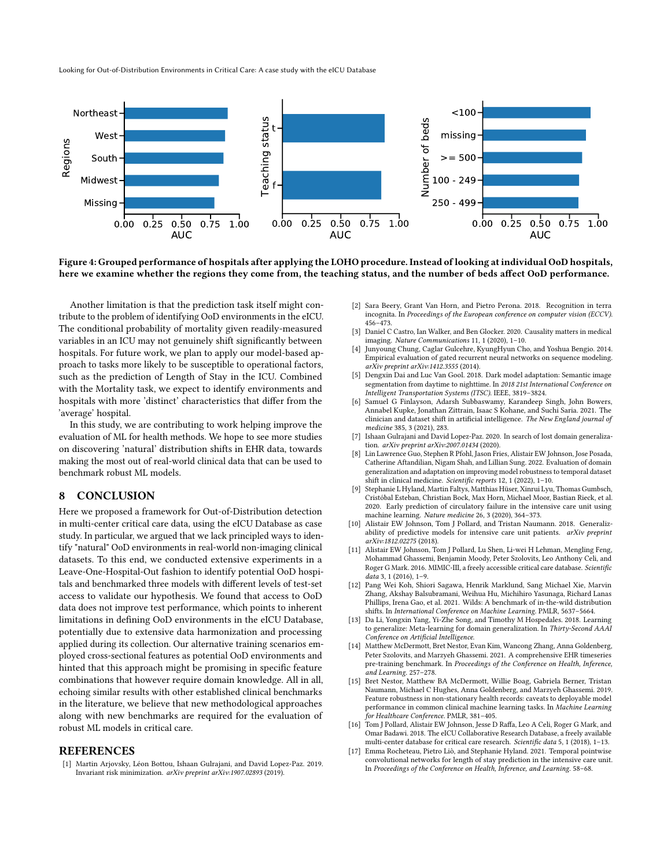<span id="page-6-17"></span>

Figure 4: Grouped performance of hospitals after applying the LOHO procedure. Instead of looking at individual OoD hospitals, here we examine whether the regions they come from, the teaching status, and the number of beds affect OoD performance.

Another limitation is that the prediction task itself might contribute to the problem of identifying OoD environments in the eICU. The conditional probability of mortality given readily-measured variables in an ICU may not genuinely shift significantly between hospitals. For future work, we plan to apply our model-based approach to tasks more likely to be susceptible to operational factors, such as the prediction of Length of Stay in the ICU. Combined with the Mortality task, we expect to identify environments and hospitals with more 'distinct' characteristics that differ from the 'average' hospital.

In this study, we are contributing to work helping improve the evaluation of ML for health methods. We hope to see more studies on discovering 'natural' distribution shifts in EHR data, towards making the most out of real-world clinical data that can be used to benchmark robust ML models.

# 8 CONCLUSION

Here we proposed a framework for Out-of-Distribution detection in multi-center critical care data, using the eICU Database as case study. In particular, we argued that we lack principled ways to identify "natural" OoD environments in real-world non-imaging clinical datasets. To this end, we conducted extensive experiments in a Leave-One-Hospital-Out fashion to identify potential OoD hospitals and benchmarked three models with different levels of test-set access to validate our hypothesis. We found that access to OoD data does not improve test performance, which points to inherent limitations in defining OoD environments in the eICU Database, potentially due to extensive data harmonization and processing applied during its collection. Our alternative training scenarios employed cross-sectional features as potential OoD environments and hinted that this approach might be promising in specific feature combinations that however require domain knowledge. All in all, echoing similar results with other established clinical benchmarks in the literature, we believe that new methodological approaches along with new benchmarks are required for the evaluation of robust ML models in critical care.

# REFERENCES

<span id="page-6-8"></span>[1] Martin Arjovsky, Léon Bottou, Ishaan Gulrajani, and David Lopez-Paz. 2019. Invariant risk minimization. arXiv preprint arXiv:1907.02893 (2019).

- <span id="page-6-7"></span>[2] Sara Beery, Grant Van Horn, and Pietro Perona. 2018. Recognition in terra incognita. In Proceedings of the European conference on computer vision (ECCV). 456–473.
- <span id="page-6-1"></span>[3] Daniel C Castro, Ian Walker, and Ben Glocker. 2020. Causality matters in medical imaging. Nature Communications 11, 1 (2020), 1–10.
- <span id="page-6-16"></span>[4] Junyoung Chung, Caglar Gulcehre, KyungHyun Cho, and Yoshua Bengio. 2014. Empirical evaluation of gated recurrent neural networks on sequence modeling. arXiv preprint arXiv:1412.3555 (2014).
- <span id="page-6-6"></span>[5] Dengxin Dai and Luc Van Gool. 2018. Dark model adaptation: Semantic image segmentation from daytime to nighttime. In 2018 21st International Conference on Intelligent Transportation Systems (ITSC). IEEE, 3819–3824.
- <span id="page-6-5"></span>Samuel G Finlayson, Adarsh Subbaswamy, Karandeep Singh, John Bowers, Annabel Kupke, Jonathan Zittrain, Isaac S Kohane, and Suchi Saria. 2021. The clinician and dataset shift in artificial intelligence. The New England journal of medicine 385, 3 (2021), 283.
- <span id="page-6-10"></span>[7] Ishaan Gulrajani and David Lopez-Paz. 2020. In search of lost domain generalization. arXiv preprint arXiv:2007.01434 (2020).
- <span id="page-6-3"></span>[8] Lin Lawrence Guo, Stephen R Pfohl, Jason Fries, Alistair EW Johnson, Jose Posada, Catherine Aftandilian, Nigam Shah, and Lillian Sung. 2022. Evaluation of domain generalization and adaptation on improving model robustness to temporal dataset shift in clinical medicine. Scientific reports 12, 1 (2022), 1–10.
- <span id="page-6-0"></span>[9] Stephanie L Hyland, Martin Faltys, Matthias Hüser, Xinrui Lyu, Thomas Gumbsch, Cristóbal Esteban, Christian Bock, Max Horn, Michael Moor, Bastian Rieck, et al. 2020. Early prediction of circulatory failure in the intensive care unit using machine learning. Nature medicine 26, 3 (2020), 364–373.
- <span id="page-6-2"></span>[10] Alistair EW Johnson, Tom J Pollard, and Tristan Naumann. 2018. Generalizability of predictive models for intensive care unit patients. arXiv preprint arXiv:1812.02275 (2018).
- <span id="page-6-12"></span>[11] Alistair EW Johnson, Tom J Pollard, Lu Shen, Li-wei H Lehman, Mengling Feng, Mohammad Ghassemi, Benjamin Moody, Peter Szolovits, Leo Anthony Celi, and Roger G Mark. 2016. MIMIC-III, a freely accessible critical care database. Scientific data 3, 1 (2016), 1–9.
- <span id="page-6-11"></span>[12] Pang Wei Koh, Shiori Sagawa, Henrik Marklund, Sang Michael Xie, Marvin Zhang, Akshay Balsubramani, Weihua Hu, Michihiro Yasunaga, Richard Lanas Phillips, Irena Gao, et al. 2021. Wilds: A benchmark of in-the-wild distribution shifts. In International Conference on Machine Learning. PMLR, 5637–5664.
- <span id="page-6-9"></span>[13] Da Li, Yongxin Yang, Yi-Zhe Song, and Timothy M Hospedales. 2018. Learning to generalize: Meta-learning for domain generalization. In Thirty-Second AAAI Conference on Artificial Intelligence.
- <span id="page-6-14"></span>[14] Matthew McDermott, Bret Nestor, Evan Kim, Wancong Zhang, Anna Goldenberg, Peter Szolovits, and Marzyeh Ghassemi. 2021. A comprehensive EHR timeseries pre-training benchmark. In Proceedings of the Conference on Health, Inference, and Learning. 257–278.
- <span id="page-6-4"></span>[15] Bret Nestor, Matthew BA McDermott, Willie Boag, Gabriela Berner, Tristan Naumann, Michael C Hughes, Anna Goldenberg, and Marzyeh Ghassemi. 2019. Feature robustness in non-stationary health records: caveats to deployable model performance in common clinical machine learning tasks. In Machine Learning for Healthcare Conference. PMLR, 381–405.
- <span id="page-6-13"></span>[16] Tom J Pollard, Alistair EW Johnson, Jesse D Raffa, Leo A Celi, Roger G Mark, and Omar Badawi. 2018. The eICU Collaborative Research Database, a freely available multi-center database for critical care research. Scientific data 5, 1 (2018), 1–13.
- <span id="page-6-15"></span>[17] Emma Rocheteau, Pietro Liò, and Stephanie Hyland. 2021. Temporal pointwise convolutional networks for length of stay prediction in the intensive care unit. In Proceedings of the Conference on Health, Inference, and Learning. 58–68.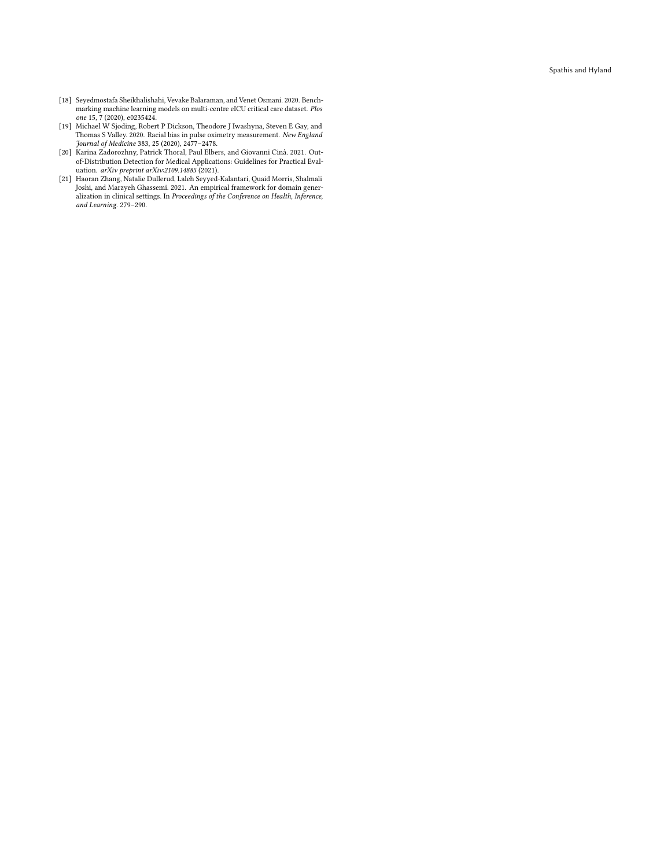- <span id="page-7-3"></span>[18] Seyedmostafa Sheikhalishahi, Vevake Balaraman, and Venet Osmani. 2020. Benchmarking machine learning models on multi-centre eICU critical care dataset.  $\it Plos$ one 15, 7 (2020), e0235424.
- <span id="page-7-2"></span>[19] Michael W Sjoding, Robert P Dickson, Theodore J Iwashyna, Steven E Gay, and Thomas S Valley. 2020. Racial bias in pulse oximetry measurement. New England Journal of Medicine 383, 25 (2020), 2477–2478.
- <span id="page-7-1"></span>[20] Karina Zadorozhny, Patrick Thoral, Paul Elbers, and Giovanni Cinà. 2021. Outof-Distribution Detection for Medical Applications: Guidelines for Practical Evaluation. arXiv preprint arXiv:2109.14885 (2021).
- <span id="page-7-0"></span>[21] Haoran Zhang, Natalie Dullerud, Laleh Seyyed-Kalantari, Quaid Morris, Shalmali Joshi, and Marzyeh Ghassemi. 2021. An empirical framework for domain generalization in clinical settings. In Proceedings of the Conference on Health, Inference, and Learning. 279–290.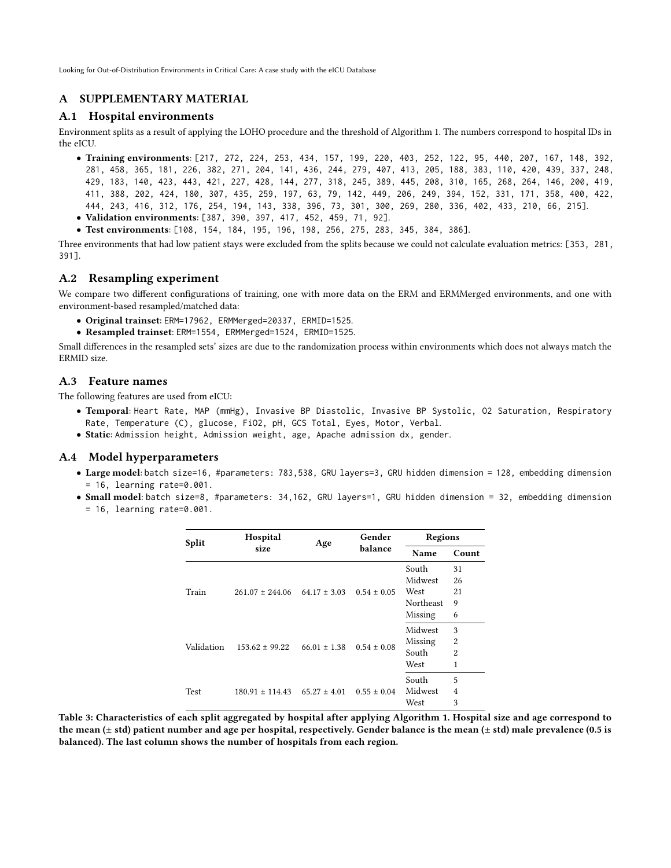### <span id="page-8-0"></span>A SUPPLEMENTARY MATERIAL

#### A.1 Hospital environments

Environment splits as a result of applying the LOHO procedure and the threshold of Algorithm [1.](#page-3-0) The numbers correspond to hospital IDs in the eICU.

- Training environments: [217, 272, 224, 253, 434, 157, 199, 220, 403, 252, 122, 95, 440, 207, 167, 148, 392, 281, 458, 365, 181, 226, 382, 271, 204, 141, 436, 244, 279, 407, 413, 205, 188, 383, 110, 420, 439, 337, 248, 429, 183, 140, 423, 443, 421, 227, 428, 144, 277, 318, 245, 389, 445, 208, 310, 165, 268, 264, 146, 200, 419, 411, 388, 202, 424, 180, 307, 435, 259, 197, 63, 79, 142, 449, 206, 249, 394, 152, 331, 171, 358, 400, 422, 444, 243, 416, 312, 176, 254, 194, 143, 338, 396, 73, 301, 300, 269, 280, 336, 402, 433, 210, 66, 215].
- Validation environments: [387, 390, 397, 417, 452, 459, 71, 92].
- Test environments: [108, 154, 184, 195, 196, 198, 256, 275, 283, 345, 384, 386].

Three environments that had low patient stays were excluded from the splits because we could not calculate evaluation metrics: [353, 281, 391].

### A.2 Resampling experiment

We compare two different configurations of training, one with more data on the ERM and ERMMerged environments, and one with environment-based resampled/matched data:

- Original trainset: ERM=17962, ERMMerged=20337, ERMID=1525.
- Resampled trainset: ERM=1554, ERMMerged=1524, ERMID=1525.

Small differences in the resampled sets' sizes are due to the randomization process within environments which does not always match the ERMID size.

#### A.3 Feature names

The following features are used from eICU:

- Temporal: Heart Rate, MAP (mmHg), Invasive BP Diastolic, Invasive BP Systolic, O2 Saturation, Respiratory Rate, Temperature (C), glucose, FiO2, pH, GCS Total, Eyes, Motor, Verbal.
- Static: Admission height, Admission weight, age, Apache admission dx, gender.

#### A.4 Model hyperparameters

- Large model: batch size=16, #parameters: 783,538, GRU layers=3, GRU hidden dimension = 128, embedding dimension  $= 16$ , learning rate=0.001.
- <span id="page-8-1"></span>• Small model: batch size=8, #parameters: 34,162, GRU layers=1, GRU hidden dimension = 32, embedding dimension  $= 16$ , learning rate=0.001.

| Split       | Hospital<br>size    | Age              | Gender<br>balance | Regions          |                |
|-------------|---------------------|------------------|-------------------|------------------|----------------|
|             |                     |                  |                   | Name             | Count          |
| Train       | $261.07 \pm 244.06$ | $64.17 \pm 3.03$ | $0.54 \pm 0.05$   | South            | 31             |
|             |                     |                  |                   | Midwest          | 26             |
|             |                     |                  |                   | West             | 21             |
|             |                     |                  |                   | <b>Northeast</b> | 9              |
|             |                     |                  |                   | Missing          | 6              |
| Validation  | $153.62 \pm 99.22$  | $66.01 \pm 1.38$ | $0.54 \pm 0.08$   | Midwest          | 3              |
|             |                     |                  |                   | Missing          | 2              |
|             |                     |                  |                   | South            | $\overline{c}$ |
|             |                     |                  |                   | West             | 1              |
| <b>Test</b> | $180.91 \pm 114.43$ | $65.27 \pm 4.01$ | $0.55 \pm 0.04$   | South            | 5              |
|             |                     |                  |                   | Midwest          | 4              |
|             |                     |                  |                   | West             | 3              |

Table 3: Characteristics of each split aggregated by hospital after applying Algorithm [1.](#page-3-0) Hospital size and age correspond to the mean  $(\pm \text{ std})$  patient number and age per hospital, respectively. Gender balance is the mean  $(\pm \text{ std})$  male prevalence (0.5 is balanced). The last column shows the number of hospitals from each region.